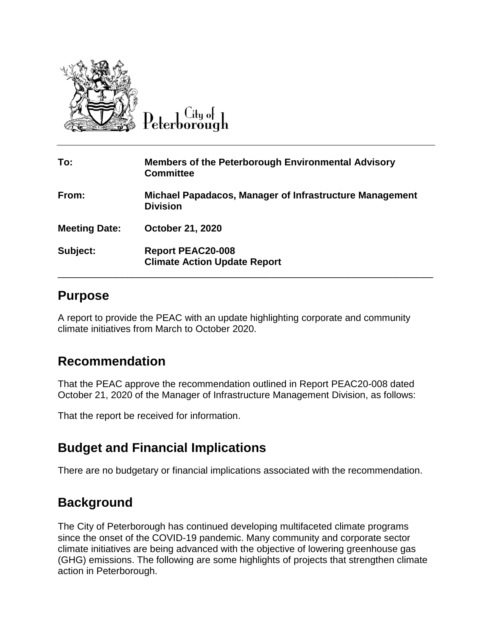

City of

| To:                  | <b>Members of the Peterborough Environmental Advisory</b><br><b>Committee</b> |
|----------------------|-------------------------------------------------------------------------------|
| From:                | Michael Papadacos, Manager of Infrastructure Management<br><b>Division</b>    |
| <b>Meeting Date:</b> | <b>October 21, 2020</b>                                                       |
| Subject:             | <b>Report PEAC20-008</b><br><b>Climate Action Update Report</b>               |

## **Purpose**

A report to provide the PEAC with an update highlighting corporate and community climate initiatives from March to October 2020.

# **Recommendation**

That the PEAC approve the recommendation outlined in Report PEAC20-008 dated October 21, 2020 of the Manager of Infrastructure Management Division, as follows:

That the report be received for information.

# **Budget and Financial Implications**

There are no budgetary or financial implications associated with the recommendation.

# **Background**

The City of Peterborough has continued developing multifaceted climate programs since the onset of the COVID-19 pandemic. Many community and corporate sector climate initiatives are being advanced with the objective of lowering greenhouse gas (GHG) emissions. The following are some highlights of projects that strengthen climate action in Peterborough.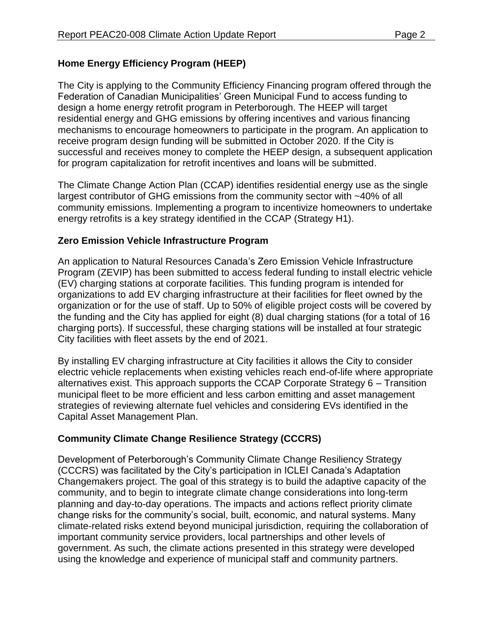### **Home Energy Efficiency Program (HEEP)**

The City is applying to the Community Efficiency Financing program offered through the Federation of Canadian Municipalities' Green Municipal Fund to access funding to design a home energy retrofit program in Peterborough. The HEEP will target residential energy and GHG emissions by offering incentives and various financing mechanisms to encourage homeowners to participate in the program. An application to receive program design funding will be submitted in October 2020. If the City is successful and receives money to complete the HEEP design, a subsequent application for program capitalization for retrofit incentives and loans will be submitted.

The Climate Change Action Plan (CCAP) identifies residential energy use as the single largest contributor of GHG emissions from the community sector with ~40% of all community emissions. Implementing a program to incentivize homeowners to undertake energy retrofits is a key strategy identified in the CCAP (Strategy H1).

### **Zero Emission Vehicle Infrastructure Program**

An application to Natural Resources Canada's Zero Emission Vehicle Infrastructure Program (ZEVIP) has been submitted to access federal funding to install electric vehicle (EV) charging stations at corporate facilities. This funding program is intended for organizations to add EV charging infrastructure at their facilities for fleet owned by the organization or for the use of staff. Up to 50% of eligible project costs will be covered by the funding and the City has applied for eight (8) dual charging stations (for a total of 16 charging ports). If successful, these charging stations will be installed at four strategic City facilities with fleet assets by the end of 2021.

By installing EV charging infrastructure at City facilities it allows the City to consider electric vehicle replacements when existing vehicles reach end-of-life where appropriate alternatives exist. This approach supports the CCAP Corporate Strategy 6 – Transition municipal fleet to be more efficient and less carbon emitting and asset management strategies of reviewing alternate fuel vehicles and considering EVs identified in the Capital Asset Management Plan.

### **Community Climate Change Resilience Strategy (CCCRS)**

Development of Peterborough's Community Climate Change Resiliency Strategy (CCCRS) was facilitated by the City's participation in ICLEI Canada's Adaptation Changemakers project. The goal of this strategy is to build the adaptive capacity of the community, and to begin to integrate climate change considerations into long-term planning and day-to-day operations. The impacts and actions reflect priority climate change risks for the community's social, built, economic, and natural systems. Many climate-related risks extend beyond municipal jurisdiction, requiring the collaboration of important community service providers, local partnerships and other levels of government. As such, the climate actions presented in this strategy were developed using the knowledge and experience of municipal staff and community partners.